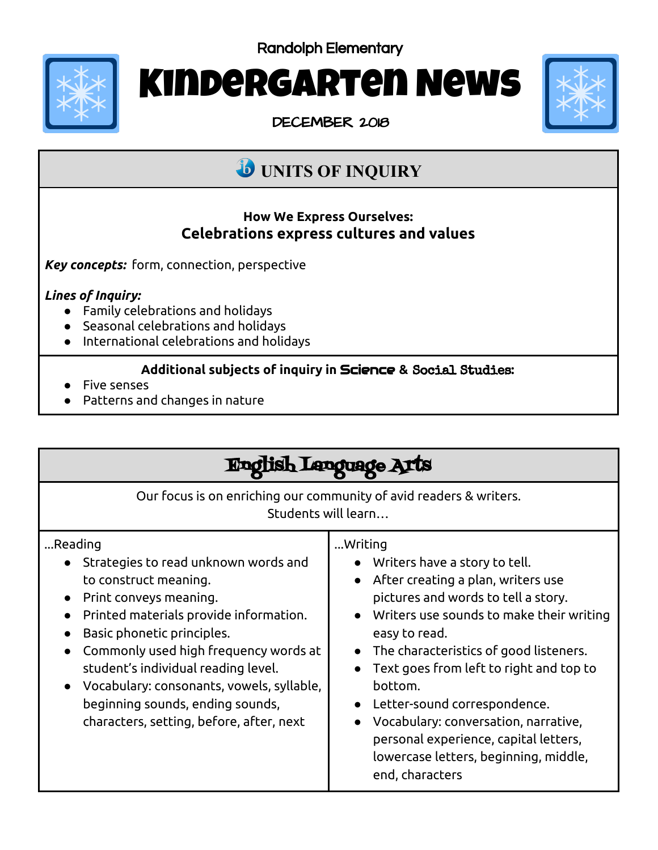Randolph Elementary



# Kindergarten News

DECEMBER 2018



## **UNITS OF INQUIRY**

#### **How We Express Ourselves: Celebrations express cultures and values**

*Key concepts:* form, connection, perspective

#### *Lines of Inquiry:*

- Family celebrations and holidays
- Seasonal celebrations and holidays
- International celebrations and holidays

#### **Additional subjects of inquiry in** Science **&** Social Studies**:**

- Five senses
- Patterns and changes in nature

| Language 2                                                                                                                                                                                                                                                                                                                                                                                           |                                                                                                                                                                                                                                                                                                                                                                                                                                                                   |
|------------------------------------------------------------------------------------------------------------------------------------------------------------------------------------------------------------------------------------------------------------------------------------------------------------------------------------------------------------------------------------------------------|-------------------------------------------------------------------------------------------------------------------------------------------------------------------------------------------------------------------------------------------------------------------------------------------------------------------------------------------------------------------------------------------------------------------------------------------------------------------|
| Our focus is on enriching our community of avid readers & writers.<br>Students will learn                                                                                                                                                                                                                                                                                                            |                                                                                                                                                                                                                                                                                                                                                                                                                                                                   |
| Reading<br>Strategies to read unknown words and<br>to construct meaning.<br>Print conveys meaning.<br>$\bullet$<br>Printed materials provide information.<br>Basic phonetic principles.<br>Commonly used high frequency words at<br>student's individual reading level.<br>Vocabulary: consonants, vowels, syllable,<br>beginning sounds, ending sounds,<br>characters, setting, before, after, next | Writing<br>• Writers have a story to tell.<br>After creating a plan, writers use<br>pictures and words to tell a story.<br>Writers use sounds to make their writing<br>easy to read.<br>The characteristics of good listeners.<br>Text goes from left to right and top to<br>bottom.<br>Letter-sound correspondence.<br>Vocabulary: conversation, narrative,<br>personal experience, capital letters,<br>lowercase letters, beginning, middle,<br>end, characters |